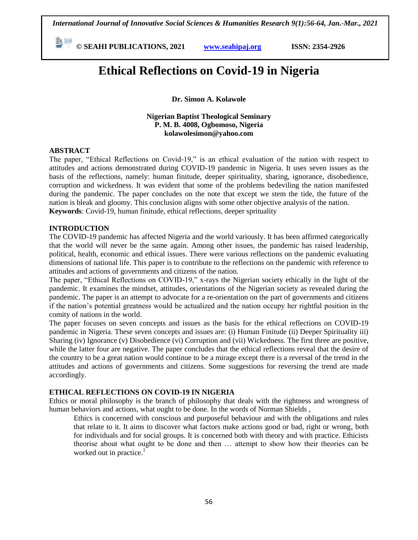**© SEAHI PUBLICATIONS, 2021 [www.seahipaj.org](http://www.seahipaj.org/) ISSN: 2354-2926** 

# **Ethical Reflections on Covid-19 in Nigeria**

**Dr. Simon A. Kolawole**

**Nigerian Baptist Theological Seminary P. M. B. 4008, Ogbomoso, Nigeria kolawolesimon@yahoo.com**

#### **ABSTRACT**

The paper, "Ethical Reflections on Covid-19," is an ethical evaluation of the nation with respect to attitudes and actions demonstrated during COVID-19 pandemic in Nigeria. It uses seven issues as the basis of the reflections, namely: human finitude, deeper spirituality, sharing, ignorance, disobedience, corruption and wickedness. It was evident that some of the problems bedeviling the nation manifested during the pandemic. The paper concludes on the note that except we stem the tide, the future of the nation is bleak and gloomy. This conclusion aligns with some other objective analysis of the nation. **Keywords**: Covid-19, human finitude, ethical reflections, deeper sprituality

#### **INTRODUCTION**

The COVID-19 pandemic has affected Nigeria and the world variously. It has been affirmed categorically that the world will never be the same again. Among other issues, the pandemic has raised leadership, political, health, economic and ethical issues. There were various reflections on the pandemic evaluating dimensions of national life. This paper is to contribute to the reflections on the pandemic with reference to attitudes and actions of governments and citizens of the nation.

The paper, "Ethical Reflections on COVID-19," x-rays the Nigerian society ethically in the light of the pandemic. It examines the mindset, attitudes, orientations of the Nigerian society as revealed during the pandemic. The paper is an attempt to advocate for a re-orientation on the part of governments and citizens if the nation"s potential greatness would be actualized and the nation occupy her rightful position in the comity of nations in the world.

The paper focuses on seven concepts and issues as the basis for the ethical reflections on COVID-19 pandemic in Nigeria. These seven concepts and issues are: (i) Human Finitude (ii) Deeper Spirituality iii) Sharing (iv) Ignorance (v) Disobedience (vi) Corruption and (vii) Wickedness. The first three are positive, while the latter four are negative. The paper concludes that the ethical reflections reveal that the desire of the country to be a great nation would continue to be a mirage except there is a reversal of the trend in the attitudes and actions of governments and citizens. Some suggestions for reversing the trend are made accordingly.

## **ETHICAL REFLECTIONS ON COVID-19 IN NIGERIA**

Ethics or moral philosophy is the branch of philosophy that deals with the rightness and wrongness of human behaviors and actions, what ought to be done. In the words of Norman Shields ,

Ethics is concerned with conscious and purposeful behaviour and with the obligations and rules that relate to it. It aims to discover what factors make actions good or bad, right or wrong, both for individuals and for social groups. It is concerned both with theory and with practice. Ethicists theorise about what ought to be done and then … attempt to show how their theories can be worked out in practice. $<sup>1</sup>$ </sup>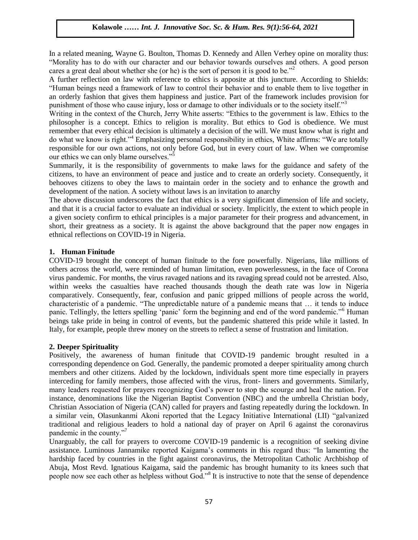In a related meaning, Wayne G. Boulton, Thomas D. Kennedy and Allen Verhey opine on morality thus: "Morality has to do with our character and our behavior towards ourselves and others. A good person cares a great deal about whether she (or he) is the sort of person it is good to be.<sup>"2</sup>

A further reflection on law with reference to ethics is apposite at this juncture. According to Shields: "Human beings need a framework of law to control their behavior and to enable them to live together in an orderly fashion that gives them happiness and justice. Part of the framework includes provision for punishment of those who cause injury, loss or damage to other individuals or to the society itself."<sup>3</sup>

Writing in the context of the Church, Jerry White asserts: "Ethics to the government is law. Ethics to the philosopher is a concept. Ethics to religion is morality. But ethics to God is obedience. We must remember that every ethical decision is ultimately a decision of the will. We must know what is right and do what we know is right."<sup>4</sup> Emphasizing personal responsibility in ethics, White affirms: "We are totally responsible for our own actions, not only before God, but in every court of law. When we compromise our ethics we can only blame ourselves."<sup>5</sup>

Summarily, it is the responsibility of governments to make laws for the guidance and safety of the citizens, to have an environment of peace and justice and to create an orderly society. Consequently, it behooves citizens to obey the laws to maintain order in the society and to enhance the growth and development of the nation. A society without laws is an invitation to anarchy

The above discussion underscores the fact that ethics is a very significant dimension of life and society, and that it is a crucial factor to evaluate an individual or society. Implicitly, the extent to which people in a given society confirm to ethical principles is a major parameter for their progress and advancement, in short, their greatness as a society. It is against the above background that the paper now engages in ethnical reflections on COVID-19 in Nigeria.

#### **1. Human Finitude**

COVID-19 brought the concept of human finitude to the fore powerfully. Nigerians, like millions of others across the world, were reminded of human limitation, even powerlessness, in the face of Corona virus pandemic. For months, the virus ravaged nations and its ravaging spread could not be arrested. Also, within weeks the casualties have reached thousands though the death rate was low in Nigeria comparatively. Consequently, fear, confusion and panic gripped millions of people across the world, characteristic of a pandemic. "The unpredictable nature of a pandemic means that … it tends to induce panic. Tellingly, the letters spelling "panic" form the beginning and end of the word pandemic."<sup>6</sup> Human beings take pride in being in control of events, but the pandemic shattered this pride while it lasted. In Italy, for example, people threw money on the streets to reflect a sense of frustration and limitation.

## **2. Deeper Spirituality**

Positively, the awareness of human finitude that COVID-19 pandemic brought resulted in a corresponding dependence on God. Generally, the pandemic promoted a deeper spirituality among church members and other citizens. Aided by the lockdown, individuals spent more time especially in prayers interceding for family members, those affected with the virus, front- liners and governments. Similarly, many leaders requested for prayers recognizing God"s power to stop the scourge and heal the nation. For instance, denominations like the Nigerian Baptist Convention (NBC) and the umbrella Christian body, Christian Association of Nigeria (CAN) called for prayers and fasting repeatedly during the lockdown. In a similar vein, Olasunkanmi Akoni reported that the Legacy Initiative International (LII) "galvanized traditional and religious leaders to hold a national day of prayer on April 6 against the coronavirus pandemic in the county."<sup>7</sup>

Unarguably, the call for prayers to overcome COVID-19 pandemic is a recognition of seeking divine assistance. Luminous Jannamike reported Kaigama's comments in this regard thus: "In lamenting the hardship faced by countries in the fight against coronavirus, the Metropolitan Catholic Archbishop of Abuja, Most Revd. Ignatious Kaigama, said the pandemic has brought humanity to its knees such that people now see each other as helpless without God."<sup>8</sup> It is instructive to note that the sense of dependence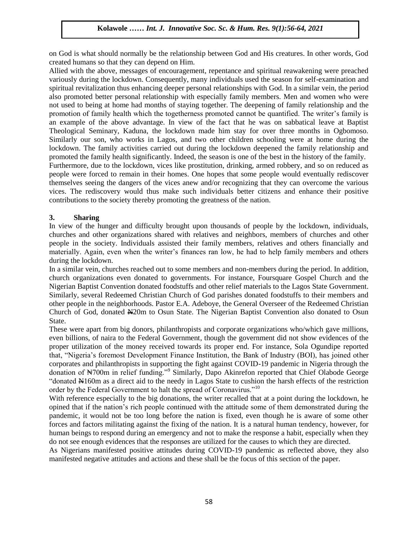on God is what should normally be the relationship between God and His creatures. In other words, God created humans so that they can depend on Him.

Allied with the above, messages of encouragement, repentance and spiritual reawakening were preached variously during the lockdown. Consequently, many individuals used the season for self-examination and spiritual revitalization thus enhancing deeper personal relationships with God. In a similar vein, the period also promoted better personal relationship with especially family members. Men and women who were not used to being at home had months of staying together. The deepening of family relationship and the promotion of family health which the togetherness promoted cannot be quantified. The writer"s family is an example of the above advantage. In view of the fact that he was on sabbatical leave at Baptist Theological Seminary, Kaduna, the lockdown made him stay for over three months in Ogbomoso. Similarly our son, who works in Lagos, and two other children schooling were at home during the lockdown. The family activities carried out during the lockdown deepened the family relationship and promoted the family health significantly. Indeed, the season is one of the best in the history of the family. Furthermore, due to the lockdown, vices like prostitution, drinking, armed robbery, and so on reduced as people were forced to remain in their homes. One hopes that some people would eventually rediscover themselves seeing the dangers of the vices anew and/or recognizing that they can overcome the various vices. The rediscovery would thus make such individuals better citizens and enhance their positive contributions to the society thereby promoting the greatness of the nation.

## **3. Sharing**

In view of the hunger and difficulty brought upon thousands of people by the lockdown, individuals, churches and other organizations shared with relatives and neighbors, members of churches and other people in the society. Individuals assisted their family members, relatives and others financially and materially. Again, even when the writer"s finances ran low, he had to help family members and others during the lockdown.

In a similar vein, churches reached out to some members and non-members during the period. In addition, church organizations even donated to governments. For instance, Foursquare Gospel Church and the Nigerian Baptist Convention donated foodstuffs and other relief materials to the Lagos State Government. Similarly, several Redeemed Christian Church of God parishes donated foodstuffs to their members and other people in the neighborhoods. Pastor E.A. Adeboye, the General Overseer of the Redeemed Christian Church of God, donated N20m to Osun State. The Nigerian Baptist Convention also donated to Osun State.

These were apart from big donors, philanthropists and corporate organizations who/which gave millions, even billions, of naira to the Federal Government, though the government did not show evidences of the proper utilization of the money received towards its proper end. For instance, Sola Ogundipe reported that, "Nigeria"s foremost Development Finance Institution, the Bank of Industry (BOI), has joined other corporates and philanthropists in supporting the fight against COVID-19 pandemic in Nigeria through the donation of N700m in relief funding."<sup>9</sup> Similarly, Dapo Akinrefon reported that Chief Olabode George "donated N160m as a direct aid to the needy in Lagos State to cushion the harsh effects of the restriction order by the Federal Government to halt the spread of Coronavirus."<sup>10</sup>

With reference especially to the big donations, the writer recalled that at a point during the lockdown, he opined that if the nation"s rich people continued with the attitude some of them demonstrated during the pandemic, it would not be too long before the nation is fixed, even though he is aware of some other forces and factors militating against the fixing of the nation. It is a natural human tendency, however, for human beings to respond during an emergency and not to make the response a habit, especially when they do not see enough evidences that the responses are utilized for the causes to which they are directed.

As Nigerians manifested positive attitudes during COVID-19 pandemic as reflected above, they also manifested negative attitudes and actions and these shall be the focus of this section of the paper.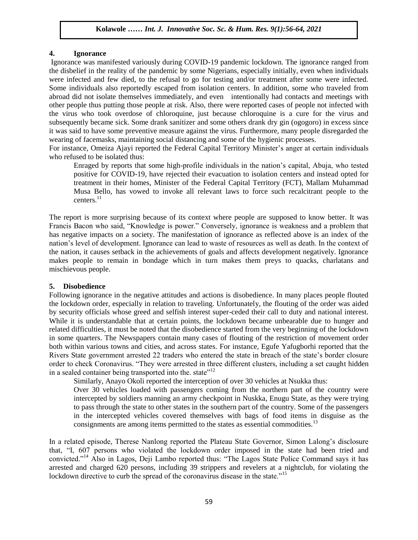#### **4. Ignorance**

Ignorance was manifested variously during COVID-19 pandemic lockdown. The ignorance ranged from the disbelief in the reality of the pandemic by some Nigerians, especially initially, even when individuals were infected and few died, to the refusal to go for testing and/or treatment after some were infected. Some individuals also reportedly escaped from isolation centers. In addition, some who traveled from abroad did not isolate themselves immediately, and even intentionally had contacts and meetings with other people thus putting those people at risk. Also, there were reported cases of people not infected with the virus who took overdose of chloroquine, just because chloroquine is a cure for the virus and subsequently became sick. Some drank sanitizer and some others drank dry gin (ogogoro) in excess since it was said to have some preventive measure against the virus. Furthermore, many people disregarded the wearing of facemasks, maintaining social distancing and some of the hygienic processes.

For instance, Omeiza Ajayi reported the Federal Capital Territory Minister's anger at certain individuals who refused to be isolated thus:

Enraged by reports that some high-profile individuals in the nation"s capital, Abuja, who tested positive for COVID-19, have rejected their evacuation to isolation centers and instead opted for treatment in their homes, Minister of the Federal Capital Territory (FCT), Mallam Muhammad Musa Bello, has vowed to invoke all relevant laws to force such recalcitrant people to the centers. $^{11}$ 

The report is more surprising because of its context where people are supposed to know better. It was Francis Bacon who said, "Knowledge is power." Conversely, ignorance is weakness and a problem that has negative impacts on a society. The manifestation of ignorance as reflected above is an index of the nation"s level of development. Ignorance can lead to waste of resources as well as death. In the context of the nation, it causes setback in the achievements of goals and affects development negatively. Ignorance makes people to remain in bondage which in turn makes them preys to quacks, charlatans and mischievous people.

## **5. Disobedience**

Following ignorance in the negative attitudes and actions is disobedience. In many places people flouted the lockdown order, especially in relation to traveling. Unfortunately, the flouting of the order was aided by security officials whose greed and selfish interest super-ceded their call to duty and national interest. While it is understandable that at certain points, the lockdown became unbearable due to hunger and related difficulties, it must be noted that the disobedience started from the very beginning of the lockdown in some quarters. The Newspapers contain many cases of flouting of the restriction of movement order both within various towns and cities, and across states. For instance, Egufe Yafugborhi reported that the Rivers State government arrested 22 traders who entered the state in breach of the state"s border closure order to check Coronavirus. "They were arrested in three different clusters, including a set caught hidden in a sealed container being transported into the. state $"^{12}$ 

Similarly, Anayo Okoli reported the interception of over 30 vehicles at Nsukka thus:

Over 30 vehicles loaded with passengers coming from the northern part of the country were intercepted by soldiers manning an army checkpoint in Nuskka, Enugu State, as they were trying to pass through the state to other states in the southern part of the country. Some of the passengers in the intercepted vehicles covered themselves with bags of food items in disguise as the consignments are among items permitted to the states as essential commodities.<sup>13</sup>

In a related episode, Therese Nanlong reported the Plateau State Governor, Simon Lalong"s disclosure that, "I, 607 persons who violated the lockdown order imposed in the state had been tried and convicted."<sup>14</sup> Also in Lagos, Deji Lambo reported thus: "The Lagos State Police Command says it has arrested and charged 620 persons, including 39 strippers and revelers at a nightclub, for violating the lockdown directive to curb the spread of the coronavirus disease in the state.<sup>15</sup>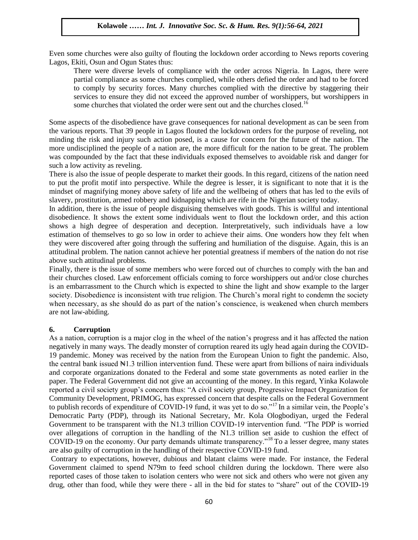Even some churches were also guilty of flouting the lockdown order according to News reports covering Lagos, Ekiti, Osun and Ogun States thus:

There were diverse levels of compliance with the order across Nigeria. In Lagos, there were partial compliance as some churches complied, while others defied the order and had to be forced to comply by security forces. Many churches complied with the directive by staggering their services to ensure they did not exceed the approved number of worshippers, but worshippers in some churches that violated the order were sent out and the churches closed.<sup>16</sup>

Some aspects of the disobedience have grave consequences for national development as can be seen from the various reports. That 39 people in Lagos flouted the lockdown orders for the purpose of reveling, not minding the risk and injury such action posed, is a cause for concern for the future of the nation. The more undisciplined the people of a nation are, the more difficult for the nation to be great. The problem was compounded by the fact that these individuals exposed themselves to avoidable risk and danger for such a low activity as reveling.

There is also the issue of people desperate to market their goods. In this regard, citizens of the nation need to put the profit motif into perspective. While the degree is lesser, it is significant to note that it is the mindset of magnifying money above safety of life and the wellbeing of others that has led to the evils of slavery, prostitution, armed robbery and kidnapping which are rife in the Nigerian society today.

In addition, there is the issue of people disguising themselves with goods. This is willful and intentional disobedience. It shows the extent some individuals went to flout the lockdown order, and this action shows a high degree of desperation and deception. Interpretatively, such individuals have a low estimation of themselves to go so low in order to achieve their aims. One wonders how they felt when they were discovered after going through the suffering and humiliation of the disguise. Again, this is an attitudinal problem. The nation cannot achieve her potential greatness if members of the nation do not rise above such attitudinal problems.

Finally, there is the issue of some members who were forced out of churches to comply with the ban and their churches closed. Law enforcement officials coming to force worshippers out and/or close churches is an embarrassment to the Church which is expected to shine the light and show example to the larger society. Disobedience is inconsistent with true religion. The Church's moral right to condemn the society when necessary, as she should do as part of the nation's conscience, is weakened when church members are not law-abiding.

## **6. Corruption**

As a nation, corruption is a major clog in the wheel of the nation"s progress and it has affected the nation negatively in many ways. The deadly monster of corruption reared its ugly head again during the COVID-19 pandemic. Money was received by the nation from the European Union to fight the pandemic. Also, the central bank issued ₦1.3 trillion intervention fund. These were apart from billions of naira individuals and corporate organizations donated to the Federal and some state governments as noted earlier in the paper. The Federal Government did not give an accounting of the money. In this regard, Yinka Kolawole reported a civil society group"s concern thus: "A civil society group, Progressive Impact Organization for Community Development, PRIMOG, has expressed concern that despite calls on the Federal Government to publish records of expenditure of COVID-19 fund, it was yet to do so."<sup>17</sup> In a similar vein, the People's Democratic Party (PDP), through its National Secretary, Mr. Kola Ologbodiyan, urged the Federal Government to be transparent with the N1.3 trillion COVID-19 intervention fund. "The PDP is worried over allegations of corruption in the handling of the N1.3 trillion set aside to cushion the effect of COVID-19 on the economy. Our party demands ultimate transparency."<sup>18</sup> To a lesser degree, many states are also guilty of corruption in the handling of their respective COVID-19 fund.

Contrary to expectations, however, dubious and blatant claims were made. For instance, the Federal Government claimed to spend N79m to feed school children during the lockdown. There were also reported cases of those taken to isolation centers who were not sick and others who were not given any drug, other than food, while they were there - all in the bid for states to "share" out of the COVID-19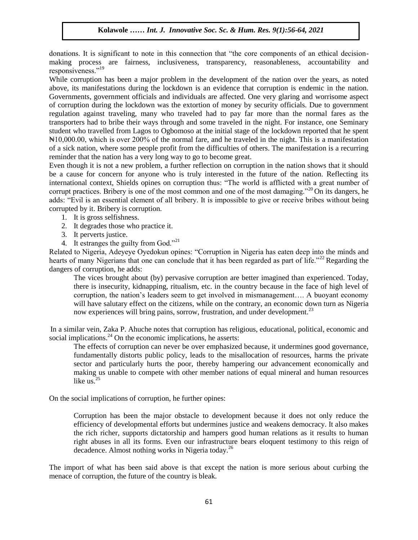donations. It is significant to note in this connection that "the core components of an ethical decisionmaking process are fairness, inclusiveness, transparency, reasonableness, accountability and responsiveness."<sup>19</sup>

While corruption has been a major problem in the development of the nation over the years, as noted above, its manifestations during the lockdown is an evidence that corruption is endemic in the nation. Governments, government officials and individuals are affected. One very glaring and worrisome aspect of corruption during the lockdown was the extortion of money by security officials. Due to government regulation against traveling, many who traveled had to pay far more than the normal fares as the transporters had to bribe their ways through and some traveled in the night. For instance, one Seminary student who travelled from Lagos to Ogbomoso at the initial stage of the lockdown reported that he spent ₦10,000.00, which is over 200% of the normal fare, and he traveled in the night. This is a manifestation of a sick nation, where some people profit from the difficulties of others. The manifestation is a recurring reminder that the nation has a very long way to go to become great.

Even though it is not a new problem, a further reflection on corruption in the nation shows that it should be a cause for concern for anyone who is truly interested in the future of the nation. Reflecting its international context, Shields opines on corruption thus: "The world is afflicted with a great number of corrupt practices. Bribery is one of the most common and one of the most damaging."<sup>20</sup> On its dangers, he adds: "Evil is an essential element of all bribery. It is impossible to give or receive bribes without being corrupted by it. Bribery is corruption.

- 1. It is gross selfishness.
- 2. It degrades those who practice it.
- 3. It perverts justice.
- 4. It estranges the guilty from God."<sup>21</sup>

Related to Nigeria, Adeyeye Oyedokun opines: "Corruption in Nigeria has eaten deep into the minds and hearts of many Nigerians that one can conclude that it has been regarded as part of life."<sup>22</sup> Regarding the dangers of corruption, he adds:

The vices brought about (by) pervasive corruption are better imagined than experienced. Today, there is insecurity, kidnapping, ritualism, etc. in the country because in the face of high level of corruption, the nation"s leaders seem to get involved in mismanagement…. A buoyant economy will have salutary effect on the citizens, while on the contrary, an economic down turn as Nigeria now experiences will bring pains, sorrow, frustration, and under development.<sup>23</sup>

In a similar vein, Zaka P. Ahuche notes that corruption has religious, educational, political, economic and social implications. $^{24}$  On the economic implications, he asserts:

The effects of corruption can never be over emphasized because, it undermines good governance, fundamentally distorts public policy, leads to the misallocation of resources, harms the private sector and particularly hurts the poor, thereby hampering our advancement economically and making us unable to compete with other member nations of equal mineral and human resources like us. $25$ 

On the social implications of corruption, he further opines:

Corruption has been the major obstacle to development because it does not only reduce the efficiency of developmental efforts but undermines justice and weakens democracy. It also makes the rich richer, supports dictatorship and hampers good human relations as it results to human right abuses in all its forms. Even our infrastructure bears eloquent testimony to this reign of decadence. Almost nothing works in Nigeria today.<sup>26</sup>

The import of what has been said above is that except the nation is more serious about curbing the menace of corruption, the future of the country is bleak.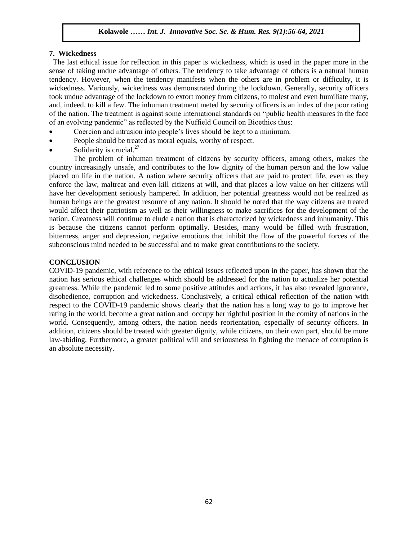#### **7. Wickedness**

 The last ethical issue for reflection in this paper is wickedness, which is used in the paper more in the sense of taking undue advantage of others. The tendency to take advantage of others is a natural human tendency. However, when the tendency manifests when the others are in problem or difficulty, it is wickedness. Variously, wickedness was demonstrated during the lockdown. Generally, security officers took undue advantage of the lockdown to extort money from citizens, to molest and even humiliate many, and, indeed, to kill a few. The inhuman treatment meted by security officers is an index of the poor rating of the nation. The treatment is against some international standards on "public health measures in the face of an evolving pandemic" as reflected by the Nuffield Council on Bioethics thus:

- Coercion and intrusion into people"s lives should be kept to a minimum.
- People should be treated as moral equals, worthy of respect.
- Solidarity is crucial. $27$

The problem of inhuman treatment of citizens by security officers, among others, makes the country increasingly unsafe, and contributes to the low dignity of the human person and the low value placed on life in the nation. A nation where security officers that are paid to protect life, even as they enforce the law, maltreat and even kill citizens at will, and that places a low value on her citizens will have her development seriously hampered. In addition, her potential greatness would not be realized as human beings are the greatest resource of any nation. It should be noted that the way citizens are treated would affect their patriotism as well as their willingness to make sacrifices for the development of the nation. Greatness will continue to elude a nation that is characterized by wickedness and inhumanity. This is because the citizens cannot perform optimally. Besides, many would be filled with frustration, bitterness, anger and depression, negative emotions that inhibit the flow of the powerful forces of the subconscious mind needed to be successful and to make great contributions to the society.

## **CONCLUSION**

COVID-19 pandemic, with reference to the ethical issues reflected upon in the paper, has shown that the nation has serious ethical challenges which should be addressed for the nation to actualize her potential greatness. While the pandemic led to some positive attitudes and actions, it has also revealed ignorance, disobedience, corruption and wickedness. Conclusively, a critical ethical reflection of the nation with respect to the COVID-19 pandemic shows clearly that the nation has a long way to go to improve her rating in the world, become a great nation and occupy her rightful position in the comity of nations in the world. Consequently, among others, the nation needs reorientation, especially of security officers. In addition, citizens should be treated with greater dignity, while citizens, on their own part, should be more law-abiding. Furthermore, a greater political will and seriousness in fighting the menace of corruption is an absolute necessity.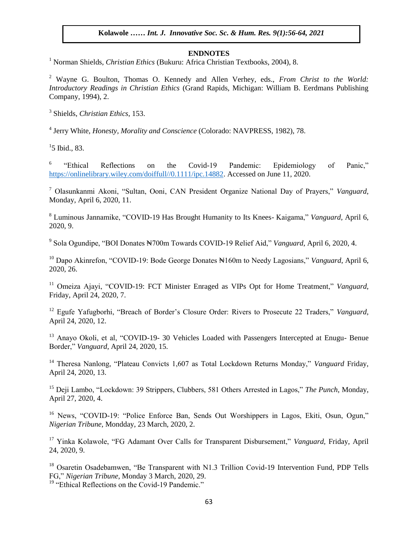#### **ENDNOTES**

<sup>1</sup> Norman Shields, *Christian Ethics* (Bukuru: Africa Christian Textbooks, 2004), 8.

<sup>2</sup> Wayne G. Boulton, Thomas O. Kennedy and Allen Verhey, eds., *From Christ to the World: Introductory Readings in Christian Ethics* (Grand Rapids, Michigan: William B. Eerdmans Publishing Company, 1994), 2.

3 Shields, *Christian Ethics*, 153.

4 Jerry White, *Honesty, Morality and Conscience* (Colorado: NAVPRESS, 1982), 78.

 $15$  Ibid., 83.

6 "Ethical Reflections on the Covid-19 Pandemic: Epidemiology of Panic," [https://onlinelibrary.wiley.com/doiffull//0.1111/ipc.14882.](https://onlinelibrary.wiley.com/doiffull/0.1111/ipc.14882) Accessed on June 11, 2020.

<sup>7</sup> Olasunkanmi Akoni, "Sultan, Ooni, CAN President Organize National Day of Prayers," *Vanguard*, Monday, April 6, 2020, 11.

<sup>8</sup> Luminous Jannamike, "COVID-19 Has Brought Humanity to Its Knees- Kaigama," *Vanguard,* April 6, 2020, 9.

9 Sola Ogundipe, "BOI Donates ₦700m Towards COVID-19 Relief Aid," *Vanguard*, April 6, 2020, 4.

<sup>10</sup> Dapo Akinrefon, "COVID-19: Bode George Donates N160m to Needy Lagosians," *Vanguard*, April 6, 2020, 26.

<sup>11</sup> Omeiza Ajayi, "COVID-19: FCT Minister Enraged as VIPs Opt for Home Treatment," *Vanguard*, Friday, April 24, 2020, 7.

<sup>12</sup> Egufe Yafugborhi, "Breach of Border's Closure Order: Rivers to Prosecute 22 Traders," *Vanguard*, April 24, 2020, 12.

<sup>13</sup> Anayo Okoli, et al, "COVID-19- 30 Vehicles Loaded with Passengers Intercepted at Enugu- Benue Border," *Vanguard*, April 24, 2020, 15.

<sup>14</sup> Theresa Nanlong, "Plateau Convicts 1,607 as Total Lockdown Returns Monday," *Vanguard* Friday, April 24, 2020, 13.

<sup>15</sup> Deji Lambo, "Lockdown: 39 Strippers, Clubbers, 581 Others Arrested in Lagos," *The Punch*, Monday, April 27, 2020, 4.

<sup>16</sup> News, "COVID-19: "Police Enforce Ban, Sends Out Worshippers in Lagos, Ekiti, Osun, Ogun," *Nigerian Tribune*, Mondday, 23 March, 2020, 2.

<sup>17</sup> Yinka Kolawole, "FG Adamant Over Calls for Transparent Disbursement," *Vanguard,* Friday, April 24, 2020, 9.

<sup>18</sup> Osaretin Osadebamwen, "Be Transparent with N1.3 Trillion Covid-19 Intervention Fund, PDP Tells FG," *Nigerian Tribune*, Monday 3 March, 2020, 29.

<sup>19</sup> "Ethical Reflections on the Covid-19 Pandemic."